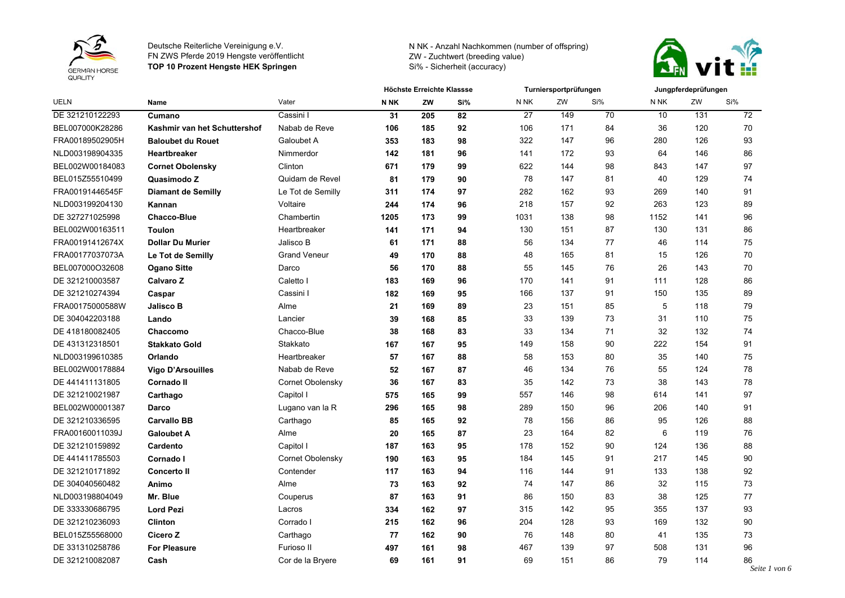



|                 | Name                         |                     | <b>Höchste Erreichte Klassse</b> |     |     |      | Turniersportprüfungen |     | Jungpferdeprüfungen |     |     |
|-----------------|------------------------------|---------------------|----------------------------------|-----|-----|------|-----------------------|-----|---------------------|-----|-----|
| <b>UELN</b>     |                              | Vater               | <b>NNK</b>                       | ZW  | Si% | N NK | ZW                    | Si% | N NK                | ZW  | Si% |
| DE 321210122293 | Cumano                       | Cassini I           | 31                               | 205 | 82  | 27   | 149                   | 70  | 10                  | 131 | 72  |
| BEL007000K28286 | Kashmir van het Schuttershof | Nabab de Reve       | 106                              | 185 | 92  | 106  | 171                   | 84  | 36                  | 120 | 70  |
| FRA00189502905H | <b>Baloubet du Rouet</b>     | Galoubet A          | 353                              | 183 | 98  | 322  | 147                   | 96  | 280                 | 126 | 93  |
| NLD003198904335 | <b>Heartbreaker</b>          | Nimmerdor           | 142                              | 181 | 96  | 141  | 172                   | 93  | 64                  | 146 | 86  |
| BEL002W00184083 | <b>Cornet Obolensky</b>      | Clinton             | 671                              | 179 | 99  | 622  | 144                   | 98  | 843                 | 147 | 97  |
| BEL015Z55510499 | Quasimodo Z                  | Quidam de Revel     | 81                               | 179 | 90  | 78   | 147                   | 81  | 40                  | 129 | 74  |
| FRA00191446545F | <b>Diamant de Semilly</b>    | Le Tot de Semilly   | 311                              | 174 | 97  | 282  | 162                   | 93  | 269                 | 140 | 91  |
| NLD003199204130 | Kannan                       | Voltaire            | 244                              | 174 | 96  | 218  | 157                   | 92  | 263                 | 123 | 89  |
| DE 327271025998 | <b>Chacco-Blue</b>           | Chambertin          | 1205                             | 173 | 99  | 1031 | 138                   | 98  | 1152                | 141 | 96  |
| BEL002W00163511 | <b>Toulon</b>                | Heartbreaker        | 141                              | 171 | 94  | 130  | 151                   | 87  | 130                 | 131 | 86  |
| FRA00191412674X | <b>Dollar Du Murier</b>      | Jalisco B           | 61                               | 171 | 88  | 56   | 134                   | 77  | 46                  | 114 | 75  |
| FRA00177037073A | Le Tot de Semilly            | <b>Grand Veneur</b> | 49                               | 170 | 88  | 48   | 165                   | 81  | 15                  | 126 | 70  |
| BEL007000O32608 | <b>Ogano Sitte</b>           | Darco               | 56                               | 170 | 88  | 55   | 145                   | 76  | 26                  | 143 | 70  |
| DE 321210003587 | Calvaro Z                    | Caletto I           | 183                              | 169 | 96  | 170  | 141                   | 91  | 111                 | 128 | 86  |
| DE 321210274394 | Caspar                       | Cassini I           | 182                              | 169 | 95  | 166  | 137                   | 91  | 150                 | 135 | 89  |
| FRA00175000588W | <b>Jalisco B</b>             | Alme                | 21                               | 169 | 89  | 23   | 151                   | 85  | 5                   | 118 | 79  |
| DE 304042203188 | Lando                        | Lancier             | 39                               | 168 | 85  | 33   | 139                   | 73  | 31                  | 110 | 75  |
| DE 418180082405 | Chaccomo                     | Chacco-Blue         | 38                               | 168 | 83  | 33   | 134                   | 71  | 32                  | 132 | 74  |
| DE 431312318501 | <b>Stakkato Gold</b>         | Stakkato            | 167                              | 167 | 95  | 149  | 158                   | 90  | 222                 | 154 | 91  |
| NLD003199610385 | Orlando                      | Heartbreaker        | 57                               | 167 | 88  | 58   | 153                   | 80  | 35                  | 140 | 75  |
| BEL002W00178884 | <b>Vigo D'Arsouilles</b>     | Nabab de Reve       | 52                               | 167 | 87  | 46   | 134                   | 76  | 55                  | 124 | 78  |
| DE 441411131805 | <b>Cornado II</b>            | Cornet Obolensky    | 36                               | 167 | 83  | 35   | 142                   | 73  | 38                  | 143 | 78  |
| DE 321210021987 | Carthago                     | Capitol I           | 575                              | 165 | 99  | 557  | 146                   | 98  | 614                 | 141 | 97  |
| BEL002W00001387 | Darco                        | Lugano van la R     | 296                              | 165 | 98  | 289  | 150                   | 96  | 206                 | 140 | 91  |
| DE 321210336595 | <b>Carvallo BB</b>           | Carthago            | 85                               | 165 | 92  | 78   | 156                   | 86  | 95                  | 126 | 88  |
| FRA00160011039J | <b>Galoubet A</b>            | Alme                | 20                               | 165 | 87  | 23   | 164                   | 82  | 6                   | 119 | 76  |
| DE 321210159892 | Cardento                     | Capitol I           | 187                              | 163 | 95  | 178  | 152                   | 90  | 124                 | 136 | 88  |
| DE 441411785503 | Cornado I                    | Cornet Obolensky    | 190                              | 163 | 95  | 184  | 145                   | 91  | 217                 | 145 | 90  |
| DE 321210171892 | <b>Concerto II</b>           | Contender           | 117                              | 163 | 94  | 116  | 144                   | 91  | 133                 | 138 | 92  |
| DE 304040560482 | Animo                        | Alme                | 73                               | 163 | 92  | 74   | 147                   | 86  | 32                  | 115 | 73  |
| NLD003198804049 | Mr. Blue                     | Couperus            | 87                               | 163 | 91  | 86   | 150                   | 83  | 38                  | 125 | 77  |
| DE 333330686795 | <b>Lord Pezi</b>             | Lacros              | 334                              | 162 | 97  | 315  | 142                   | 95  | 355                 | 137 | 93  |
| DE 321210236093 | <b>Clinton</b>               | Corrado I           | 215                              | 162 | 96  | 204  | 128                   | 93  | 169                 | 132 | 90  |
| BEL015Z55568000 | Cicero Z                     | Carthago            | 77                               | 162 | 90  | 76   | 148                   | 80  | 41                  | 135 | 73  |
| DE 331310258786 | <b>For Pleasure</b>          | Furioso II          | 497                              | 161 | 98  | 467  | 139                   | 97  | 508                 | 131 | 96  |
| DE 321210082087 | Cash                         | Cor de la Bryere    | 69                               | 161 | 91  | 69   | 151                   | 86  | 79                  | 114 | 86  |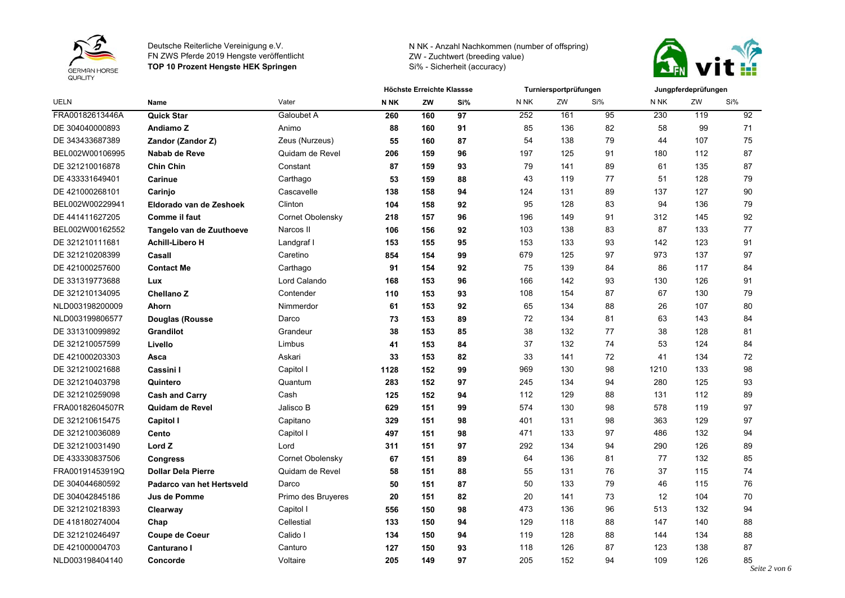



|                 | <b>Name</b>               | Vater              | Höchste Erreichte Klassse |     |     | Turniersportprüfungen |     |     | Jungpferdeprüfungen |     |     |
|-----------------|---------------------------|--------------------|---------------------------|-----|-----|-----------------------|-----|-----|---------------------|-----|-----|
| <b>UELN</b>     |                           |                    | N <sub>NK</sub>           | ZW  | Si% | N <sub>NK</sub>       | ZW  | Si% | N NK                | ZW  | Si% |
| FRA00182613446A | <b>Quick Star</b>         | Galoubet A         | 260                       | 160 | 97  | 252                   | 161 | 95  | 230                 | 119 | 92  |
| DE 304040000893 | Andiamo Z                 | Animo              | 88                        | 160 | 91  | 85                    | 136 | 82  | 58                  | 99  | 71  |
| DE 343433687389 | Zandor (Zandor Z)         | Zeus (Nurzeus)     | 55                        | 160 | 87  | 54                    | 138 | 79  | 44                  | 107 | 75  |
| BEL002W00106995 | Nabab de Reve             | Quidam de Revel    | 206                       | 159 | 96  | 197                   | 125 | 91  | 180                 | 112 | 87  |
| DE 321210016878 | <b>Chin Chin</b>          | Constant           | 87                        | 159 | 93  | 79                    | 141 | 89  | 61                  | 135 | 87  |
| DE 433331649401 | Carinue                   | Carthago           | 53                        | 159 | 88  | 43                    | 119 | 77  | 51                  | 128 | 79  |
| DE 421000268101 | Carinjo                   | Cascavelle         | 138                       | 158 | 94  | 124                   | 131 | 89  | 137                 | 127 | 90  |
| BEL002W00229941 | Eldorado van de Zeshoek   | Clinton            | 104                       | 158 | 92  | 95                    | 128 | 83  | 94                  | 136 | 79  |
| DE 441411627205 | <b>Comme il faut</b>      | Cornet Obolensky   | 218                       | 157 | 96  | 196                   | 149 | 91  | 312                 | 145 | 92  |
| BEL002W00162552 | Tangelo van de Zuuthoeve  | Narcos II          | 106                       | 156 | 92  | 103                   | 138 | 83  | 87                  | 133 | 77  |
| DE 321210111681 | <b>Achill-Libero H</b>    | Landgraf I         | 153                       | 155 | 95  | 153                   | 133 | 93  | 142                 | 123 | 91  |
| DE 321210208399 | Casall                    | Caretino           | 854                       | 154 | 99  | 679                   | 125 | 97  | 973                 | 137 | 97  |
| DE 421000257600 | <b>Contact Me</b>         | Carthago           | 91                        | 154 | 92  | 75                    | 139 | 84  | 86                  | 117 | 84  |
| DE 331319773688 | Lux                       | Lord Calando       | 168                       | 153 | 96  | 166                   | 142 | 93  | 130                 | 126 | 91  |
| DE 321210134095 | <b>Chellano Z</b>         | Contender          | 110                       | 153 | 93  | 108                   | 154 | 87  | 67                  | 130 | 79  |
| NLD003198200009 | Ahorn                     | Nimmerdor          | 61                        | 153 | 92  | 65                    | 134 | 88  | 26                  | 107 | 80  |
| NLD003199806577 | <b>Douglas (Rousse</b>    | Darco              | 73                        | 153 | 89  | 72                    | 134 | 81  | 63                  | 143 | 84  |
| DE 331310099892 | <b>Grandilot</b>          | Grandeur           | 38                        | 153 | 85  | 38                    | 132 | 77  | 38                  | 128 | 81  |
| DE 321210057599 | Livello                   | Limbus             | 41                        | 153 | 84  | 37                    | 132 | 74  | 53                  | 124 | 84  |
| DE 421000203303 | Asca                      | Askari             | 33                        | 153 | 82  | 33                    | 141 | 72  | 41                  | 134 | 72  |
| DE 321210021688 | Cassini I                 | Capitol I          | 1128                      | 152 | 99  | 969                   | 130 | 98  | 1210                | 133 | 98  |
| DE 321210403798 | Quintero                  | Quantum            | 283                       | 152 | 97  | 245                   | 134 | 94  | 280                 | 125 | 93  |
| DE 321210259098 | <b>Cash and Carry</b>     | Cash               | 125                       | 152 | 94  | 112                   | 129 | 88  | 131                 | 112 | 89  |
| FRA00182604507R | <b>Quidam de Revel</b>    | Jalisco B          | 629                       | 151 | 99  | 574                   | 130 | 98  | 578                 | 119 | 97  |
| DE 321210615475 | <b>Capitol I</b>          | Capitano           | 329                       | 151 | 98  | 401                   | 131 | 98  | 363                 | 129 | 97  |
| DE 321210036089 | Cento                     | Capitol I          | 497                       | 151 | 98  | 471                   | 133 | 97  | 486                 | 132 | 94  |
| DE 321210031490 | Lord Z                    | Lord               | 311                       | 151 | 97  | 292                   | 134 | 94  | 290                 | 126 | 89  |
| DE 433330837506 | <b>Congress</b>           | Cornet Obolensky   | 67                        | 151 | 89  | 64                    | 136 | 81  | 77                  | 132 | 85  |
| FRA00191453919Q | <b>Dollar Dela Pierre</b> | Quidam de Revel    | 58                        | 151 | 88  | 55                    | 131 | 76  | 37                  | 115 | 74  |
| DE 304044680592 | Padarco van het Hertsveld | Darco              | 50                        | 151 | 87  | 50                    | 133 | 79  | 46                  | 115 | 76  |
| DE 304042845186 | Jus de Pomme              | Primo des Bruyeres | 20                        | 151 | 82  | 20                    | 141 | 73  | 12                  | 104 | 70  |
| DE 321210218393 | Clearway                  | Capitol I          | 556                       | 150 | 98  | 473                   | 136 | 96  | 513                 | 132 | 94  |
| DE 418180274004 | Chap                      | Cellestial         | 133                       | 150 | 94  | 129                   | 118 | 88  | 147                 | 140 | 88  |
| DE 321210246497 | Coupe de Coeur            | Calido I           | 134                       | 150 | 94  | 119                   | 128 | 88  | 144                 | 134 | 88  |
| DE 421000004703 | Canturano I               | Canturo            | 127                       | 150 | 93  | 118                   | 126 | 87  | 123                 | 138 | 87  |
| NLD003198404140 | Concorde                  | Voltaire           | 205                       | 149 | 97  | 205                   | 152 | 94  | 109                 | 126 | 85  |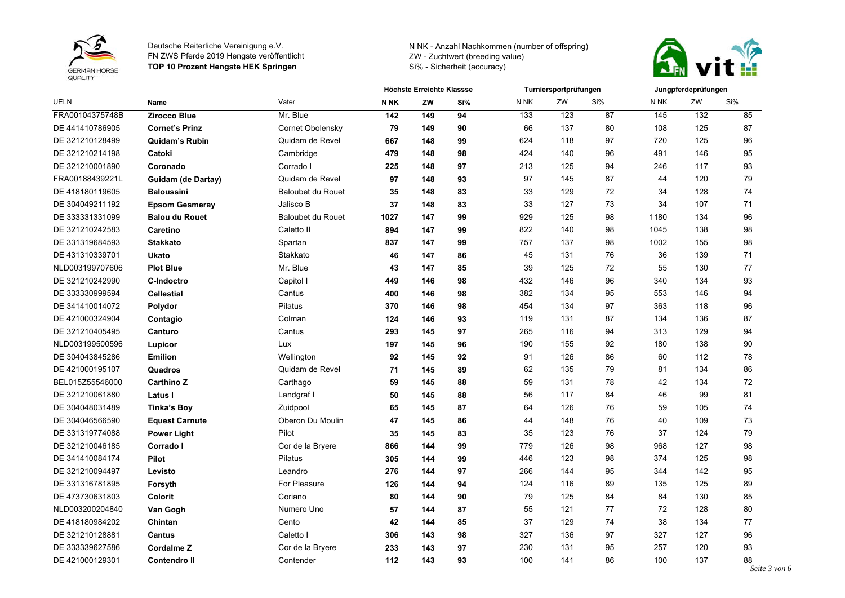



| <b>UELN</b>     | <b>Name</b>           |                          | Höchste Erreichte Klassse |     |     | Turniersportprüfungen |     |     | Jungpferdeprüfungen |     |     |
|-----------------|-----------------------|--------------------------|---------------------------|-----|-----|-----------------------|-----|-----|---------------------|-----|-----|
|                 |                       | Vater                    | <b>NNK</b>                | ZW  | Si% | N NK                  | ZW  | Si% | N NK                | ZW  | Si% |
| FRA00104375748B | <b>Zirocco Blue</b>   | Mr. Blue                 | $142$                     | 149 | 94  | 133                   | 123 | 87  | 145                 | 132 | 85  |
| DE 441410786905 | <b>Cornet's Prinz</b> | Cornet Obolensky         | 79                        | 149 | 90  | 66                    | 137 | 80  | 108                 | 125 | 87  |
| DE 321210128499 | <b>Quidam's Rubin</b> | Quidam de Revel          | 667                       | 148 | 99  | 624                   | 118 | 97  | 720                 | 125 | 96  |
| DE 321210214198 | Catoki                | Cambridge                | 479                       | 148 | 98  | 424                   | 140 | 96  | 491                 | 146 | 95  |
| DE 321210001890 | Coronado              | Corrado I                | 225                       | 148 | 97  | 213                   | 125 | 94  | 246                 | 117 | 93  |
| FRA00188439221L | Guidam (de Dartay)    | Quidam de Revel          | 97                        | 148 | 93  | 97                    | 145 | 87  | 44                  | 120 | 79  |
| DE 418180119605 | <b>Baloussini</b>     | <b>Baloubet du Rouet</b> | 35                        | 148 | 83  | 33                    | 129 | 72  | 34                  | 128 | 74  |
| DE 304049211192 | <b>Epsom Gesmeray</b> | Jalisco B                | 37                        | 148 | 83  | 33                    | 127 | 73  | 34                  | 107 | 71  |
| DE 333331331099 | <b>Balou du Rouet</b> | <b>Baloubet du Rouet</b> | 1027                      | 147 | 99  | 929                   | 125 | 98  | 1180                | 134 | 96  |
| DE 321210242583 | Caretino              | Caletto II               | 894                       | 147 | 99  | 822                   | 140 | 98  | 1045                | 138 | 98  |
| DE 331319684593 | <b>Stakkato</b>       | Spartan                  | 837                       | 147 | 99  | 757                   | 137 | 98  | 1002                | 155 | 98  |
| DE 431310339701 | <b>Ukato</b>          | Stakkato                 | 46                        | 147 | 86  | 45                    | 131 | 76  | 36                  | 139 | 71  |
| NLD003199707606 | <b>Plot Blue</b>      | Mr. Blue                 | 43                        | 147 | 85  | 39                    | 125 | 72  | 55                  | 130 | 77  |
| DE 321210242990 | <b>C-Indoctro</b>     | Capitol I                | 449                       | 146 | 98  | 432                   | 146 | 96  | 340                 | 134 | 93  |
| DE 333330999594 | <b>Cellestial</b>     | Cantus                   | 400                       | 146 | 98  | 382                   | 134 | 95  | 553                 | 146 | 94  |
| DE 341410014072 | Polydor               | Pilatus                  | 370                       | 146 | 98  | 454                   | 134 | 97  | 363                 | 118 | 96  |
| DE 421000324904 | Contagio              | Colman                   | 124                       | 146 | 93  | 119                   | 131 | 87  | 134                 | 136 | 87  |
| DE 321210405495 | Canturo               | Cantus                   | 293                       | 145 | 97  | 265                   | 116 | 94  | 313                 | 129 | 94  |
| NLD003199500596 | Lupicor               | Lux                      | 197                       | 145 | 96  | 190                   | 155 | 92  | 180                 | 138 | 90  |
| DE 304043845286 | Emilion               | Wellington               | 92                        | 145 | 92  | 91                    | 126 | 86  | 60                  | 112 | 78  |
| DE 421000195107 | Quadros               | Quidam de Revel          | 71                        | 145 | 89  | 62                    | 135 | 79  | 81                  | 134 | 86  |
| BEL015Z55546000 | <b>Carthino Z</b>     | Carthago                 | 59                        | 145 | 88  | 59                    | 131 | 78  | 42                  | 134 | 72  |
| DE 321210061880 | Latus I               | Landgraf I               | 50                        | 145 | 88  | 56                    | 117 | 84  | 46                  | 99  | 81  |
| DE 304048031489 | <b>Tinka's Boy</b>    | Zuidpool                 | 65                        | 145 | 87  | 64                    | 126 | 76  | 59                  | 105 | 74  |
| DE 304046566590 | <b>Equest Carnute</b> | Oberon Du Moulin         | 47                        | 145 | 86  | 44                    | 148 | 76  | 40                  | 109 | 73  |
| DE 331319774088 | <b>Power Light</b>    | Pilot                    | 35                        | 145 | 83  | 35                    | 123 | 76  | 37                  | 124 | 79  |
| DE 321210046185 | Corrado I             | Cor de la Bryere         | 866                       | 144 | 99  | 779                   | 126 | 98  | 968                 | 127 | 98  |
| DE 341410084174 | Pilot                 | Pilatus                  | 305                       | 144 | 99  | 446                   | 123 | 98  | 374                 | 125 | 98  |
| DE 321210094497 | Levisto               | Leandro                  | 276                       | 144 | 97  | 266                   | 144 | 95  | 344                 | 142 | 95  |
| DE 331316781895 | Forsyth               | For Pleasure             | 126                       | 144 | 94  | 124                   | 116 | 89  | 135                 | 125 | 89  |
| DE 473730631803 | Colorit               | Coriano                  | 80                        | 144 | 90  | 79                    | 125 | 84  | 84                  | 130 | 85  |
| NLD003200204840 | Van Gogh              | Numero Uno               | 57                        | 144 | 87  | 55                    | 121 | 77  | 72                  | 128 | 80  |
| DE 418180984202 | Chintan               | Cento                    | 42                        | 144 | 85  | 37                    | 129 | 74  | 38                  | 134 | 77  |
| DE 321210128881 | <b>Cantus</b>         | Caletto I                | 306                       | 143 | 98  | 327                   | 136 | 97  | 327                 | 127 | 96  |
| DE 333339627586 | <b>Cordalme Z</b>     | Cor de la Bryere         | 233                       | 143 | 97  | 230                   | 131 | 95  | 257                 | 120 | 93  |
| DE 421000129301 | <b>Contendro II</b>   | Contender                | 112                       | 143 | 93  | 100                   | 141 | 86  | 100                 | 137 | 88  |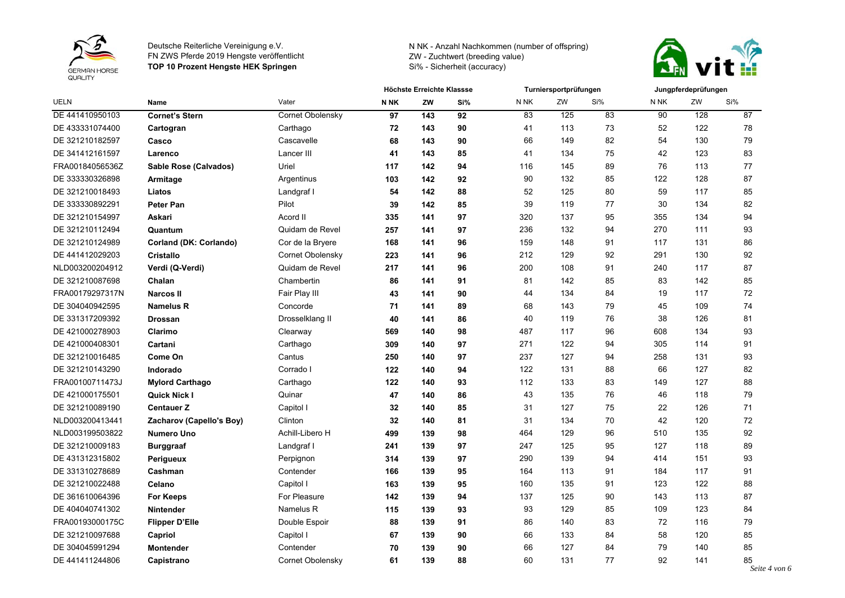



|                 |                          |                  |             | Höchste Erreichte Klassse |     | Turniersportprüfungen |     |     |      | Jungpferdeprüfungen |                     |  |  |
|-----------------|--------------------------|------------------|-------------|---------------------------|-----|-----------------------|-----|-----|------|---------------------|---------------------|--|--|
| <b>UELN</b>     | Name                     | Vater            | <b>N NK</b> | ZW                        | Si% | N NK                  | ZW  | Si% | N NK | ZW                  | Si%                 |  |  |
| DE 441410950103 | <b>Cornet's Stern</b>    | Cornet Obolensky | 97          | 143                       | 92  | 83                    | 125 | 83  | 90   | 128                 | 87                  |  |  |
| DE 433331074400 | Cartogran                | Carthago         | 72          | 143                       | 90  | 41                    | 113 | 73  | 52   | 122                 | 78                  |  |  |
| DE 321210182597 | Casco                    | Cascavelle       | 68          | 143                       | 90  | 66                    | 149 | 82  | 54   | 130                 | 79                  |  |  |
| DE 341412161597 | Larenco                  | Lancer III       | 41          | 143                       | 85  | 41                    | 134 | 75  | 42   | 123                 | 83                  |  |  |
| FRA00184056536Z | Sable Rose (Calvados)    | Uriel            | 117         | 142                       | 94  | 116                   | 145 | 89  | 76   | 113                 | 77                  |  |  |
| DE 333330326898 | Armitage                 | Argentinus       | 103         | 142                       | 92  | 90                    | 132 | 85  | 122  | 128                 | 87                  |  |  |
| DE 321210018493 | Liatos                   | Landgraf I       | 54          | 142                       | 88  | 52                    | 125 | 80  | 59   | 117                 | 85                  |  |  |
| DE 333330892291 | Peter Pan                | Pilot            | 39          | 142                       | 85  | 39                    | 119 | 77  | 30   | 134                 | 82                  |  |  |
| DE 321210154997 | Askari                   | Acord II         | 335         | 141                       | 97  | 320                   | 137 | 95  | 355  | 134                 | 94                  |  |  |
| DE 321210112494 | Quantum                  | Quidam de Revel  | 257         | 141                       | 97  | 236                   | 132 | 94  | 270  | 111                 | 93                  |  |  |
| DE 321210124989 | Corland (DK: Corlando)   | Cor de la Bryere | 168         | 141                       | 96  | 159                   | 148 | 91  | 117  | 131                 | 86                  |  |  |
| DE 441412029203 | <b>Cristallo</b>         | Cornet Obolensky | 223         | 141                       | 96  | 212                   | 129 | 92  | 291  | 130                 | 92                  |  |  |
| NLD003200204912 | Verdi (Q-Verdi)          | Quidam de Revel  | 217         | 141                       | 96  | 200                   | 108 | 91  | 240  | 117                 | 87                  |  |  |
| DE 321210087698 | Chalan                   | Chambertin       | 86          | 141                       | 91  | 81                    | 142 | 85  | 83   | 142                 | 85                  |  |  |
| FRA00179297317N | <b>Narcos II</b>         | Fair Play III    | 43          | 141                       | 90  | 44                    | 134 | 84  | 19   | 117                 | 72                  |  |  |
| DE 304040942595 | Namelus R                | Concorde         | 71          | 141                       | 89  | 68                    | 143 | 79  | 45   | 109                 | 74                  |  |  |
| DE 331317209392 | <b>Drossan</b>           | Drosselklang II  | 40          | 141                       | 86  | 40                    | 119 | 76  | 38   | 126                 | 81                  |  |  |
| DE 421000278903 | Clarimo                  | Clearway         | 569         | 140                       | 98  | 487                   | 117 | 96  | 608  | 134                 | 93                  |  |  |
| DE 421000408301 | Cartani                  | Carthago         | 309         | 140                       | 97  | 271                   | 122 | 94  | 305  | 114                 | 91                  |  |  |
| DE 321210016485 | Come On                  | Cantus           | 250         | 140                       | 97  | 237                   | 127 | 94  | 258  | 131                 | 93                  |  |  |
| DE 321210143290 | Indorado                 | Corrado I        | 122         | 140                       | 94  | 122                   | 131 | 88  | 66   | 127                 | 82                  |  |  |
| FRA00100711473J | <b>Mylord Carthago</b>   | Carthago         | 122         | 140                       | 93  | 112                   | 133 | 83  | 149  | 127                 | 88                  |  |  |
| DE 421000175501 | <b>Quick Nick I</b>      | Quinar           | 47          | 140                       | 86  | 43                    | 135 | 76  | 46   | 118                 | 79                  |  |  |
| DE 321210089190 | <b>Centauer Z</b>        | Capitol I        | 32          | 140                       | 85  | 31                    | 127 | 75  | 22   | 126                 | 71                  |  |  |
| NLD003200413441 | Zacharov (Capello's Boy) | Clinton          | 32          | 140                       | 81  | 31                    | 134 | 70  | 42   | 120                 | 72                  |  |  |
| NLD003199503822 | <b>Numero Uno</b>        | Achill-Libero H  | 499         | 139                       | 98  | 464                   | 129 | 96  | 510  | 135                 | 92                  |  |  |
| DE 321210009183 | <b>Burggraaf</b>         | Landgraf I       | 241         | 139                       | 97  | 247                   | 125 | 95  | 127  | 118                 | 89                  |  |  |
| DE 431312315802 | Perigueux                | Perpignon        | 314         | 139                       | 97  | 290                   | 139 | 94  | 414  | 151                 | 93                  |  |  |
| DE 331310278689 | Cashman                  | Contender        | 166         | 139                       | 95  | 164                   | 113 | 91  | 184  | 117                 | 91                  |  |  |
| DE 321210022488 | Celano                   | Capitol I        | 163         | 139                       | 95  | 160                   | 135 | 91  | 123  | 122                 | 88                  |  |  |
| DE 361610064396 | <b>For Keeps</b>         | For Pleasure     | 142         | 139                       | 94  | 137                   | 125 | 90  | 143  | 113                 | 87                  |  |  |
| DE 404040741302 | Nintender                | Namelus R        | 115         | 139                       | 93  | 93                    | 129 | 85  | 109  | 123                 | 84                  |  |  |
| FRA00193000175C | <b>Flipper D'Elle</b>    | Double Espoir    | 88          | 139                       | 91  | 86                    | 140 | 83  | 72   | 116                 | 79                  |  |  |
| DE 321210097688 | Capriol                  | Capitol I        | 67          | 139                       | 90  | 66                    | 133 | 84  | 58   | 120                 | 85                  |  |  |
| DE 304045991294 | <b>Montender</b>         | Contender        | 70          | 139                       | 90  | 66                    | 127 | 84  | 79   | 140                 | 85                  |  |  |
| DE 441411244806 | Capistrano               | Cornet Obolensky | 61          | 139                       | 88  | 60                    | 131 | 77  | 92   | 141                 | 85<br>Seite 4 von 6 |  |  |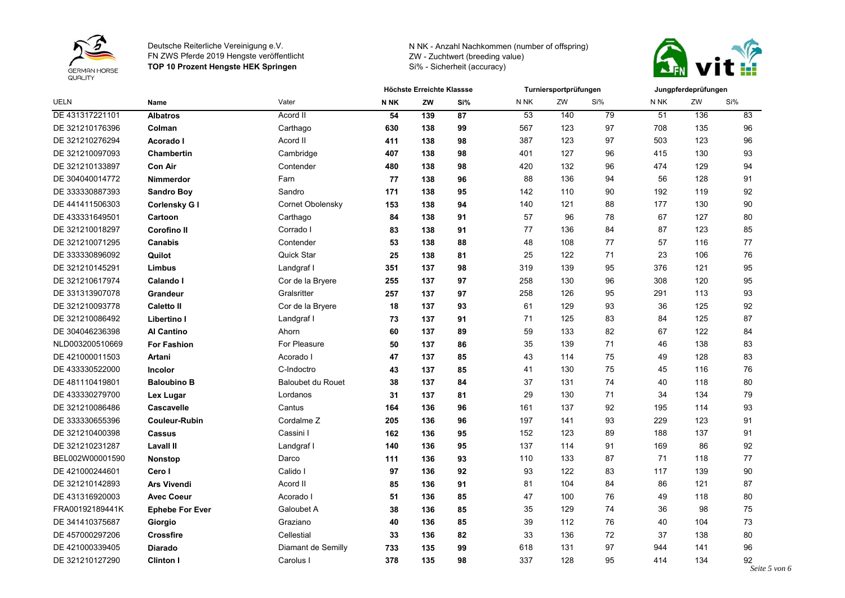



|                 | Name                   | Vater                    | Höchste Erreichte Klassse |     |     | Turniersportprüfungen |     |     | Jungpferdeprüfungen |     |     |
|-----------------|------------------------|--------------------------|---------------------------|-----|-----|-----------------------|-----|-----|---------------------|-----|-----|
| <b>UELN</b>     |                        |                          | <b>N NK</b>               | ZW  | Si% | N NK                  | ZW  | Si% | N NK                | ZW  | Si% |
| DE 431317221101 | <b>Albatros</b>        | Acord II                 | 54                        | 139 | 87  | 53                    | 140 | 79  | 51                  | 136 | 83  |
| DE 321210176396 | Colman                 | Carthago                 | 630                       | 138 | 99  | 567                   | 123 | 97  | 708                 | 135 | 96  |
| DE 321210276294 | Acorado I              | Acord II                 | 411                       | 138 | 98  | 387                   | 123 | 97  | 503                 | 123 | 96  |
| DE 321210097093 | <b>Chambertin</b>      | Cambridge                | 407                       | 138 | 98  | 401                   | 127 | 96  | 415                 | 130 | 93  |
| DE 321210133897 | <b>Con Air</b>         | Contender                | 480                       | 138 | 98  | 420                   | 132 | 96  | 474                 | 129 | 94  |
| DE 304040014772 | Nimmerdor              | Farn                     | 77                        | 138 | 96  | 88                    | 136 | 94  | 56                  | 128 | 91  |
| DE 333330887393 | <b>Sandro Boy</b>      | Sandro                   | 171                       | 138 | 95  | 142                   | 110 | 90  | 192                 | 119 | 92  |
| DE 441411506303 | Corlensky G I          | Cornet Obolensky         | 153                       | 138 | 94  | 140                   | 121 | 88  | 177                 | 130 | 90  |
| DE 433331649501 | Cartoon                | Carthago                 | 84                        | 138 | 91  | 57                    | 96  | 78  | 67                  | 127 | 80  |
| DE 321210018297 | <b>Corofino II</b>     | Corrado I                | 83                        | 138 | 91  | 77                    | 136 | 84  | 87                  | 123 | 85  |
| DE 321210071295 | <b>Canabis</b>         | Contender                | 53                        | 138 | 88  | 48                    | 108 | 77  | 57                  | 116 | 77  |
| DE 333330896092 | Quilot                 | <b>Quick Star</b>        | 25                        | 138 | 81  | 25                    | 122 | 71  | 23                  | 106 | 76  |
| DE 321210145291 | <b>Limbus</b>          | Landgraf I               | 351                       | 137 | 98  | 319                   | 139 | 95  | 376                 | 121 | 95  |
| DE 321210617974 | Calando I              | Cor de la Bryere         | 255                       | 137 | 97  | 258                   | 130 | 96  | 308                 | 120 | 95  |
| DE 331313907078 | <b>Grandeur</b>        | Gralsritter              | 257                       | 137 | 97  | 258                   | 126 | 95  | 291                 | 113 | 93  |
| DE 321210093778 | <b>Caletto II</b>      | Cor de la Bryere         | 18                        | 137 | 93  | 61                    | 129 | 93  | 36                  | 125 | 92  |
| DE 321210086492 | Libertino I            | Landgraf I               | 73                        | 137 | 91  | 71                    | 125 | 83  | 84                  | 125 | 87  |
| DE 304046236398 | <b>Al Cantino</b>      | Ahorn                    | 60                        | 137 | 89  | 59                    | 133 | 82  | 67                  | 122 | 84  |
| NLD003200510669 | <b>For Fashion</b>     | For Pleasure             | 50                        | 137 | 86  | 35                    | 139 | 71  | 46                  | 138 | 83  |
| DE 421000011503 | Artani                 | Acorado I                | 47                        | 137 | 85  | 43                    | 114 | 75  | 49                  | 128 | 83  |
| DE 433330522000 | <b>Incolor</b>         | C-Indoctro               | 43                        | 137 | 85  | 41                    | 130 | 75  | 45                  | 116 | 76  |
| DE 481110419801 | <b>Baloubino B</b>     | <b>Baloubet du Rouet</b> | 38                        | 137 | 84  | 37                    | 131 | 74  | 40                  | 118 | 80  |
| DE 433330279700 | Lex Lugar              | Lordanos                 | 31                        | 137 | 81  | 29                    | 130 | 71  | 34                  | 134 | 79  |
| DE 321210086486 | <b>Cascavelle</b>      | Cantus                   | 164                       | 136 | 96  | 161                   | 137 | 92  | 195                 | 114 | 93  |
| DE 333330655396 | <b>Couleur-Rubin</b>   | Cordalme Z               | 205                       | 136 | 96  | 197                   | 141 | 93  | 229                 | 123 | 91  |
| DE 321210400398 | <b>Cassus</b>          | Cassini I                | 162                       | 136 | 95  | 152                   | 123 | 89  | 188                 | 137 | 91  |
| DE 321210231287 | <b>Lavall II</b>       | Landgraf I               | 140                       | 136 | 95  | 137                   | 114 | 91  | 169                 | 86  | 92  |
| BEL002W00001590 | <b>Nonstop</b>         | Darco                    | 111                       | 136 | 93  | 110                   | 133 | 87  | 71                  | 118 | 77  |
| DE 421000244601 | Cero I                 | Calido I                 | 97                        | 136 | 92  | 93                    | 122 | 83  | 117                 | 139 | 90  |
| DE 321210142893 | <b>Ars Vivendi</b>     | Acord II                 | 85                        | 136 | 91  | 81                    | 104 | 84  | 86                  | 121 | 87  |
| DE 431316920003 | <b>Avec Coeur</b>      | Acorado I                | 51                        | 136 | 85  | 47                    | 100 | 76  | 49                  | 118 | 80  |
| FRA00192189441K | <b>Ephebe For Ever</b> | Galoubet A               | 38                        | 136 | 85  | 35                    | 129 | 74  | 36                  | 98  | 75  |
| DE 341410375687 | Giorgio                | Graziano                 | 40                        | 136 | 85  | 39                    | 112 | 76  | 40                  | 104 | 73  |
| DE 457000297206 | Crossfire              | Cellestial               | 33                        | 136 | 82  | 33                    | 136 | 72  | 37                  | 138 | 80  |
| DE 421000339405 | <b>Diarado</b>         | Diamant de Semilly       | 733                       | 135 | 99  | 618                   | 131 | 97  | 944                 | 141 | 96  |
| DE 321210127290 | <b>Clinton I</b>       | Carolus I                | 378                       | 135 | 98  | 337                   | 128 | 95  | 414                 | 134 | 92  |